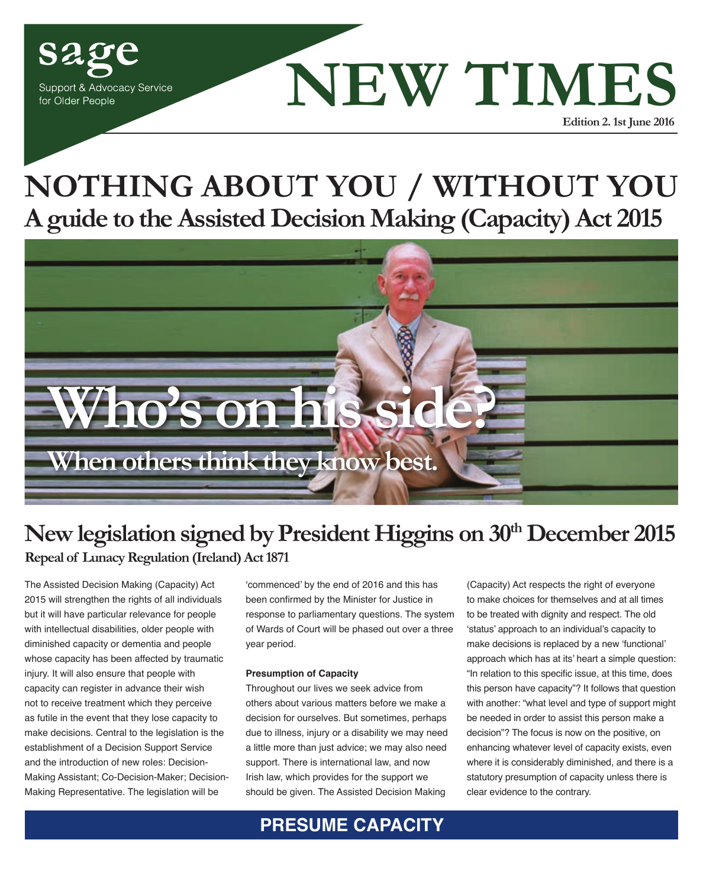

## **A guide to the Assisted Decision Making (Capacity) Act 2015 NOTHING ABOUT YOU / WITHOUT YOU**



## New legislation signed by President Higgins on 30<sup>th</sup> December 2015 **Repeal of Lunacy Regulation (Ireland) Act 1871**

The Assisted Decision Making (Capacity) Act 2015 will strengthen the rights of all individuals but it will have particular relevance for people with intellectual disabilities, older people with diminished capacity or dementia and people whose capacity has been affected by traumatic injury. It will also ensure that people with capacity can register in advance their wish not to receive treatment which they perceive as futile in the event that they lose capacity to make decisions. Central to the legislation is the establishment of a Decision Support Service and the introduction of new roles: Decision-Making Assistant; Co-Decision-Maker; Decision-Making Representative. The legislation will be

'commenced' by the end of 2016 and this has been confirmed by the Minister for Justice in response to parliamentary questions. The system of Wards of Court will be phased out over a three year period.

#### **Presumption of Capacity**

Throughout our lives we seek advice from others about various matters before we make a decision for ourselves. But sometimes, perhaps due to illness, injury or a disability we may need a little more than just advice; we may also need support. There is international law, and now Irish law, which provides for the support we should be given. The Assisted Decision Making

(Capacity) Act respects the right of everyone to make choices for themselves and at all times to be treated with dignity and respect. The old 'status' approach to an individual's capacity to make decisions is replaced by a new 'functional' approach which has at its' heart a simple question: "In relation to this specific issue, at this time, does this person have capacity"? It follows that question with another: "what level and type of support might be needed in order to assist this person make a decision"? The focus is now on the positive, on enhancing whatever level of capacity exists, even where it is considerably diminished, and there is a statutory presumption of capacity unless there is clear evidence to the contrary.

**PRESUME CAPACITY**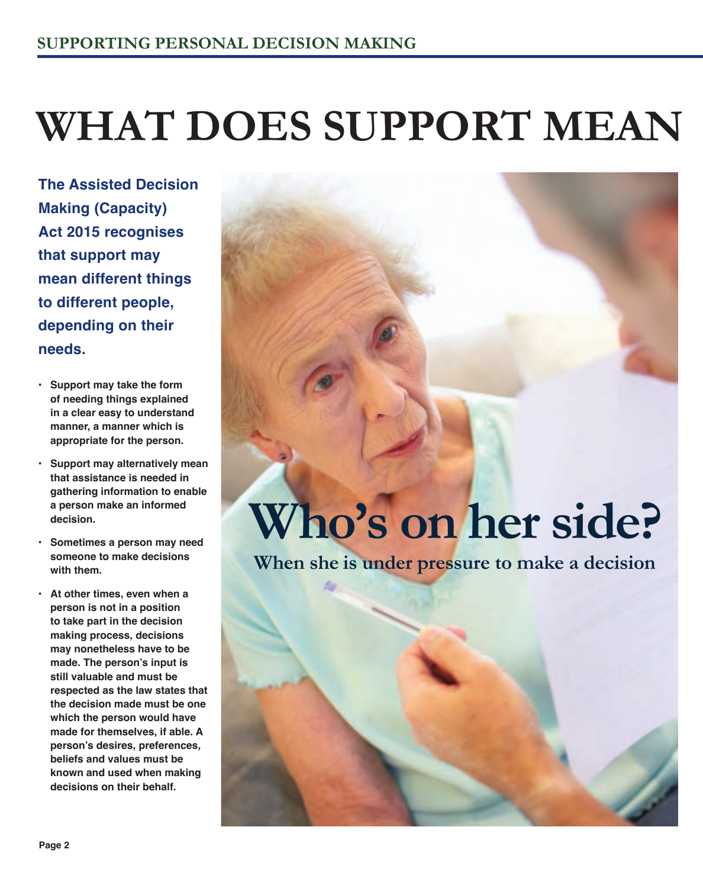# **WHAT DOES SUPPORT MEAN**

**The Assisted Decision Making (Capacity) Act 2015 recognises that support may mean different things to different people, depending on their needs.**

- **• Support may take the form of needing things explained in a clear easy to understand manner, a manner which is appropriate for the person.**
- **• Support may alternatively mean that assistance is needed in gathering information to enable a person make an informed decision.**
- **• Sometimes a person may need someone to make decisions with them.**
- **• At other times, even when a person is not in a position to take part in the decision making process, decisions may nonetheless have to be made. The person's input is still valuable and must be respected as the law states that the decision made must be one which the person would have made for themselves, if able. A person's desires, preferences, beliefs and values must be known and used when making decisions on their behalf.**

# **Who's on her side?**

**When she is under pressure to make a decision**

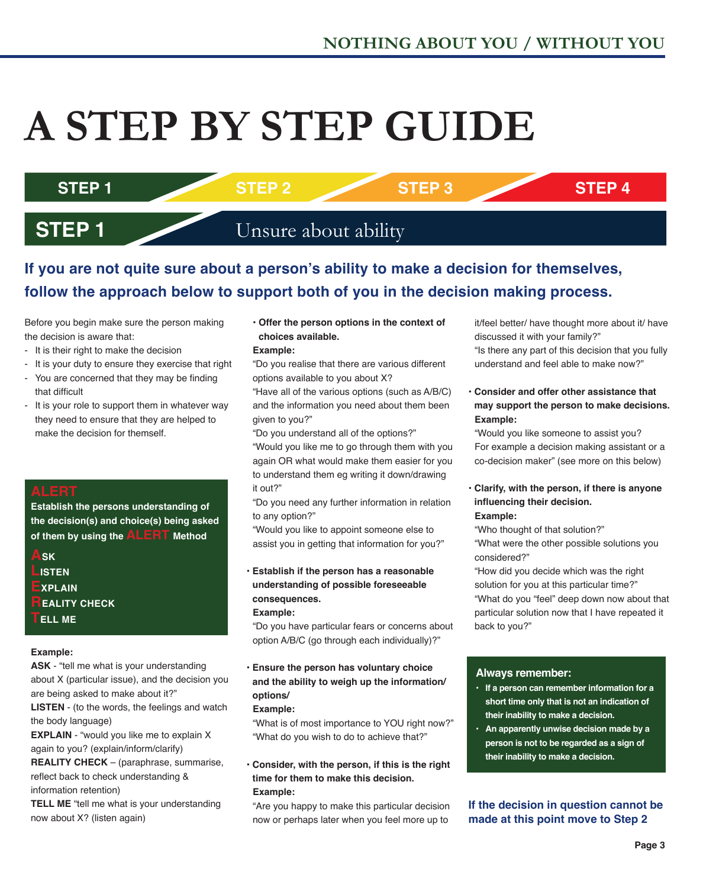# **A STEP BY STEP GUIDE**

## **STEP 1 STEP 2 STEP 3 STEP 4**

## **STEP 1** Unsure about ability

## **If you are not quite sure about a person's ability to make a decision for themselves, follow the approach below to support both of you in the decision making process.**

Before you begin make sure the person making the decision is aware that:

- It is their right to make the decision
- It is your duty to ensure they exercise that right
- You are concerned that they may be finding that difficult
- It is your role to support them in whatever way they need to ensure that they are helped to make the decision for themself.

## **ALERT**

**Establish the persons understanding of the decision(s) and choice(s) being asked of them by using the ALERT Method**

- **ASK LISTEN EXPLAIN EALITY CHECK**
- **TELL ME**

## **Example:**

**ASK** - "tell me what is your understanding about X (particular issue), and the decision you are being asked to make about it?"

**LISTEN** - (to the words, the feelings and watch the body language)

**EXPLAIN** - "would you like me to explain X again to you? (explain/inform/clarify)

**REALITY CHECK** – (paraphrase, summarise, reflect back to check understanding & information retention)

**TELL ME** "tell me what is your understanding now about X? (listen again)

**• Offer the person options in the context of choices available.**

#### **Example:**

"Do you realise that there are various different options available to you about X?

"Have all of the various options (such as A/B/C) and the information you need about them been given to you?"

"Do you understand all of the options?" "Would you like me to go through them with you again OR what would make them easier for you to understand them eg writing it down/drawing it out?"

"Do you need any further information in relation to any option?"

"Would you like to appoint someone else to assist you in getting that information for you?"

## **• Establish if the person has a reasonable understanding of possible foreseeable consequences.**

#### **Example:**

"Do you have particular fears or concerns about option A/B/C (go through each individually)?"

## **• Ensure the person has voluntary choice and the ability to weigh up the information/ options/**

#### **Example:**

"What is of most importance to YOU right now?" "What do you wish to do to achieve that?"

## **• Consider, with the person, if this is the right time for them to make this decision. Example:**

"Are you happy to make this particular decision now or perhaps later when you feel more up to

it/feel better/ have thought more about it/ have discussed it with your family?"

"Is there any part of this decision that you fully understand and feel able to make now?"

## **• Consider and offer other assistance that may support the person to make decisions. Example:**

"Would you like someone to assist you? For example a decision making assistant or a co-decision maker" (see more on this below)

## **• Clarify, with the person, if there is anyone influencing their decision.**

## **Example:**

"Who thought of that solution?" "What were the other possible solutions you

considered?"

"How did you decide which was the right solution for you at this particular time?" "What do you "feel" deep down now about that particular solution now that I have repeated it back to you?"

## **Always remember:**

- **• If a person can remember information for a short time only that is not an indication of their inability to make a decision.**
- **• An apparently unwise decision made by a person is not to be regarded as a sign of their inability to make a decision.**

## **If the decision in question cannot be made at this point move to Step 2**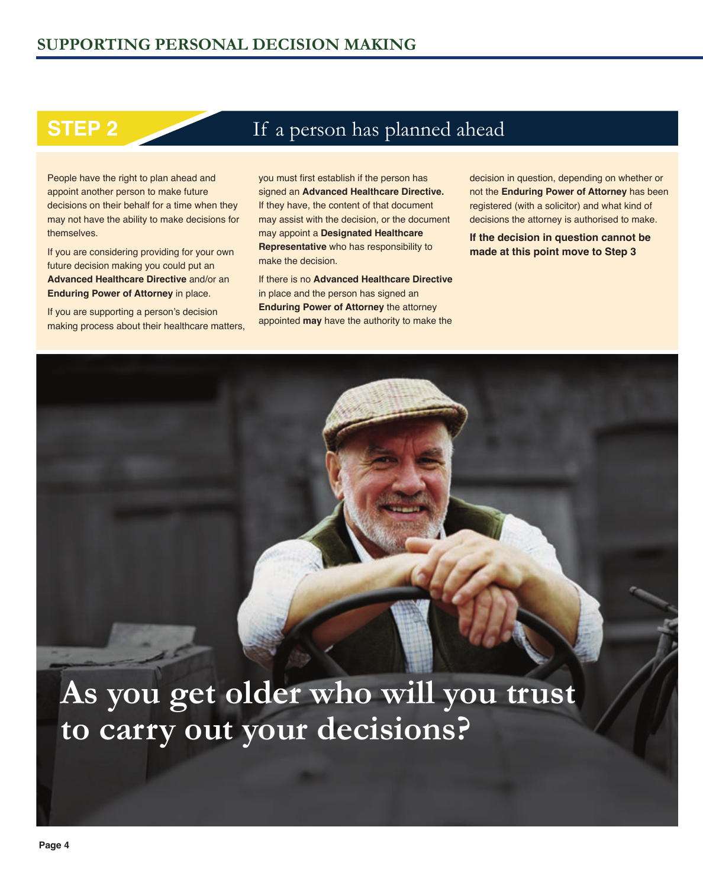## **STEP 2** If a person has planned ahead

People have the right to plan ahead and appoint another person to make future decisions on their behalf for a time when they may not have the ability to make decisions for themselves.

If you are considering providing for your own future decision making you could put an **Advanced Healthcare Directive** and/or an **Enduring Power of Attorney in place.** 

If you are supporting a person's decision making process about their healthcare matters, you must first establish if the person has signed an **Advanced Healthcare Directive.**  If they have, the content of that document may assist with the decision, or the document may appoint a **Designated Healthcare Representative** who has responsibility to make the decision.

If there is no **Advanced Healthcare Directive** in place and the person has signed an **Enduring Power of Attorney** the attorney appointed **may** have the authority to make the

decision in question, depending on whether or not the **Enduring Power of Attorney** has been registered (with a solicitor) and what kind of decisions the attorney is authorised to make.

**If the decision in question cannot be made at this point move to Step 3**

## **As you get older who will you trust to carry out your decisions?**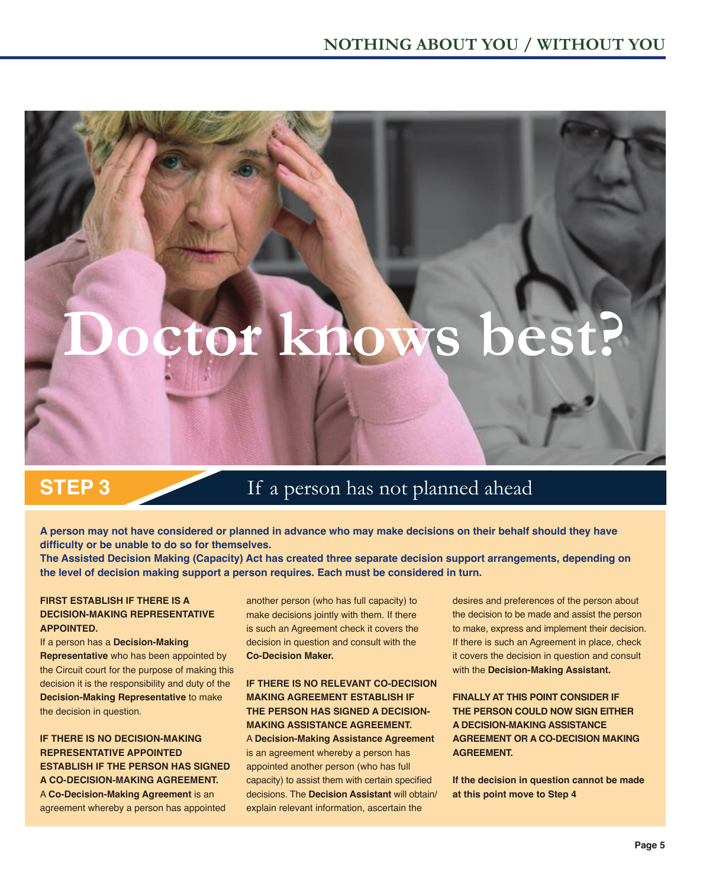# tor knows bes

## **STEP 3** If a person has not planned ahead

**A person may not have considered or planned in advance who may make decisions on their behalf should they have difficulty or be unable to do so for themselves.** 

**The Assisted Decision Making (Capacity) Act has created three separate decision support arrangements, depending on the level of decision making support a person requires. Each must be considered in turn.**

## **FIRST ESTABLISH IF THERE IS A DECISION-MAKING REPRESENTATIVE APPOINTED.**

If a person has a **Decision-Making Representative** who has been appointed by the Circuit court for the purpose of making this decision it is the responsibility and duty of the **Decision-Making Representative** to make the decision in question.

**IF THERE IS NO DECISION-MAKING REPRESENTATIVE APPOINTED ESTABLISH IF THE PERSON HAS SIGNED A CO-DECISION-MAKING AGREEMENT.** A **Co-Decision-Making Agreement** is an agreement whereby a person has appointed

another person (who has full capacity) to make decisions jointly with them. If there is such an Agreement check it covers the decision in question and consult with the **Co-Decision Maker.** 

## **IF THERE IS NO RELEVANT CO-DECISION MAKING AGREEMENT ESTABLISH IF THE PERSON HAS SIGNED A DECISION-MAKING ASSISTANCE AGREEMENT.**

A **Decision-Making Assistance Agreement**  is an agreement whereby a person has appointed another person (who has full capacity) to assist them with certain specified decisions. The **Decision Assistant** will obtain/ explain relevant information, ascertain the

desires and preferences of the person about the decision to be made and assist the person to make, express and implement their decision. If there is such an Agreement in place, check it covers the decision in question and consult with the **Decision-Making Assistant.** 

**FINALLY AT THIS POINT CONSIDER IF THE PERSON COULD NOW SIGN EITHER A DECISION-MAKING ASSISTANCE AGREEMENT OR A CO-DECISION MAKING AGREEMENT.**

**If the decision in question cannot be made at this point move to Step 4**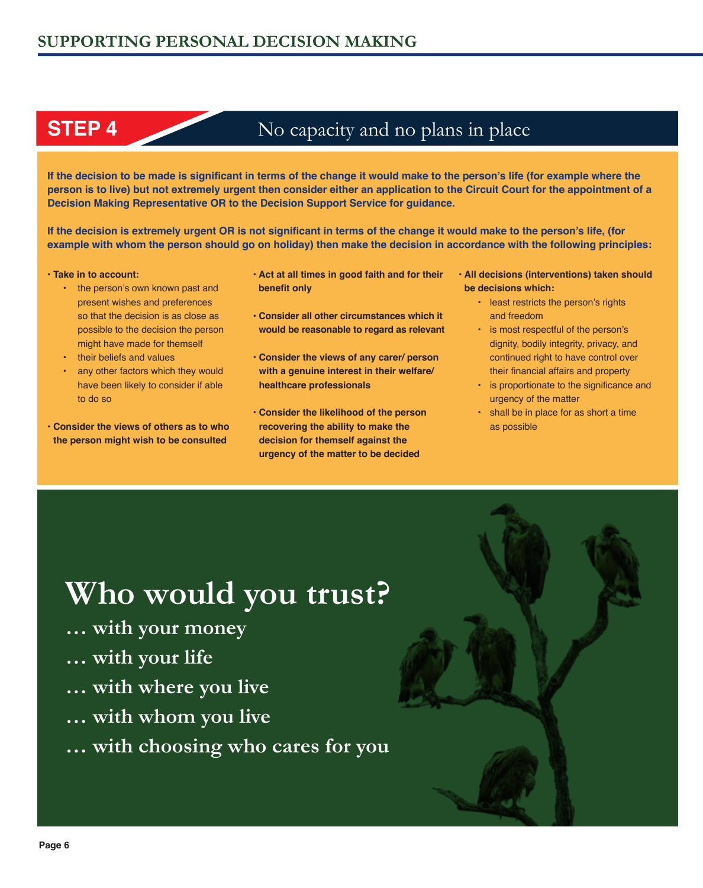## **STEP 4** No capacity and no plans in place

**If the decision to be made is significant in terms of the change it would make to the person's life (for example where the person is to live) but not extremely urgent then consider either an application to the Circuit Court for the appointment of a Decision Making Representative OR to the Decision Support Service for guidance.**

**If the decision is extremely urgent OR is not significant in terms of the change it would make to the person's life, (for example with whom the person should go on holiday) then make the decision in accordance with the following principles:** 

#### **• Take in to account:**

- the person's own known past and present wishes and preferences so that the decision is as close as possible to the decision the person might have made for themself
- their beliefs and values
- any other factors which they would have been likely to consider if able to do so

**• Consider the views of others as to who the person might wish to be consulted**

- **Act at all times in good faith and for their benefit only**
- **Consider all other circumstances which it would be reasonable to regard as relevant**
- **Consider the views of any carer/ person with a genuine interest in their welfare/ healthcare professionals**
- **Consider the likelihood of the person recovering the ability to make the decision for themself against the urgency of the matter to be decided**
- **All decisions (interventions) taken should be decisions which:** 
	- least restricts the person's rights and freedom
	- is most respectful of the person's dignity, bodily integrity, privacy, and continued right to have control over their financial affairs and property
	- is proportionate to the significance and urgency of the matter
	- shall be in place for as short a time as possible

## **Who would you trust?**

- **… with your money**
- **… with your life**
- **… with where you live**
- **… with whom you live**
- **… with choosing who cares for you**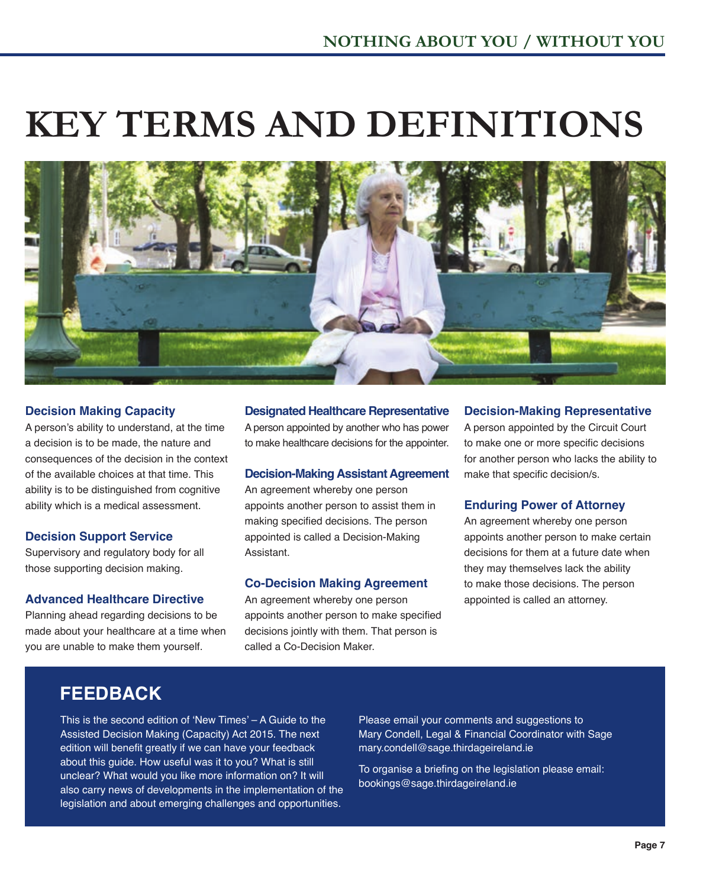# **KEY TERMS AND DEFINITIONS**



## **Decision Making Capacity**

A person's ability to understand, at the time a decision is to be made, the nature and consequences of the decision in the context of the available choices at that time. This ability is to be distinguished from cognitive ability which is a medical assessment.

## **Decision Support Service**

Supervisory and regulatory body for all those supporting decision making.

## **Advanced Healthcare Directive**

Planning ahead regarding decisions to be made about your healthcare at a time when you are unable to make them yourself.

## **Designated Healthcare Representative**

A person appointed by another who has power to make healthcare decisions for the appointer.

## **Decision-Making Assistant Agreement**

An agreement whereby one person appoints another person to assist them in making specified decisions. The person appointed is called a Decision-Making Assistant.

## **Co-Decision Making Agreement**

An agreement whereby one person appoints another person to make specified decisions jointly with them. That person is called a Co-Decision Maker.

## **Decision-Making Representative**

A person appointed by the Circuit Court to make one or more specific decisions for another person who lacks the ability to make that specific decision/s.

## **Enduring Power of Attorney**

An agreement whereby one person appoints another person to make certain decisions for them at a future date when they may themselves lack the ability to make those decisions. The person appointed is called an attorney.

## **FEEDBACK**

This is the second edition of 'New Times' – A Guide to the Assisted Decision Making (Capacity) Act 2015. The next edition will benefit greatly if we can have your feedback about this guide. How useful was it to you? What is still unclear? What would you like more information on? It will also carry news of developments in the implementation of the legislation and about emerging challenges and opportunities.

Please email your comments and suggestions to Mary Condell, Legal & Financial Coordinator with Sage mary.condell@sage.thirdageireland.ie

To organise a briefing on the legislation please email: bookings@sage.thirdageireland.ie